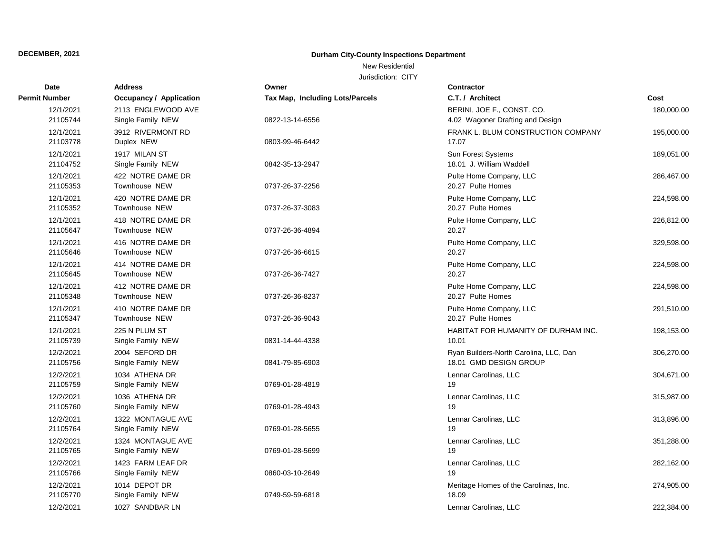### New Residential

| <b>Date</b>           | <b>Address</b>                          | Owner                           | <b>Contractor</b>                                                |            |
|-----------------------|-----------------------------------------|---------------------------------|------------------------------------------------------------------|------------|
| Permit Number         | <b>Occupancy / Application</b>          | Tax Map, Including Lots/Parcels | C.T. / Architect                                                 | Cost       |
| 12/1/2021<br>21105744 | 2113 ENGLEWOOD AVE<br>Single Family NEW | 0822-13-14-6556                 | BERINI, JOE F., CONST. CO.<br>4.02 Wagoner Drafting and Design   | 180,000.00 |
| 12/1/2021<br>21103778 | 3912 RIVERMONT RD<br>Duplex NEW         | 0803-99-46-6442                 | FRANK L. BLUM CONSTRUCTION COMPANY<br>17.07                      | 195,000.00 |
| 12/1/2021<br>21104752 | 1917 MILAN ST<br>Single Family NEW      | 0842-35-13-2947                 | <b>Sun Forest Systems</b><br>18.01 J. William Waddell            | 189,051.00 |
| 12/1/2021<br>21105353 | 422 NOTRE DAME DR<br>Townhouse NEW      | 0737-26-37-2256                 | Pulte Home Company, LLC<br>20.27 Pulte Homes                     | 286,467.00 |
| 12/1/2021<br>21105352 | 420 NOTRE DAME DR<br>Townhouse NEW      | 0737-26-37-3083                 | Pulte Home Company, LLC<br>20.27 Pulte Homes                     | 224,598.00 |
| 12/1/2021<br>21105647 | 418 NOTRE DAME DR<br>Townhouse NEW      | 0737-26-36-4894                 | Pulte Home Company, LLC<br>20.27                                 | 226,812.00 |
| 12/1/2021<br>21105646 | 416 NOTRE DAME DR<br>Townhouse NEW      | 0737-26-36-6615                 | Pulte Home Company, LLC<br>20.27                                 | 329,598.00 |
| 12/1/2021<br>21105645 | 414 NOTRE DAME DR<br>Townhouse NEW      | 0737-26-36-7427                 | Pulte Home Company, LLC<br>20.27                                 | 224,598.00 |
| 12/1/2021<br>21105348 | 412 NOTRE DAME DR<br>Townhouse NEW      | 0737-26-36-8237                 | Pulte Home Company, LLC<br>20.27 Pulte Homes                     | 224,598.00 |
| 12/1/2021<br>21105347 | 410 NOTRE DAME DR<br>Townhouse NEW      | 0737-26-36-9043                 | Pulte Home Company, LLC<br>20.27 Pulte Homes                     | 291,510.00 |
| 12/1/2021<br>21105739 | 225 N PLUM ST<br>Single Family NEW      | 0831-14-44-4338                 | HABITAT FOR HUMANITY OF DURHAM INC.<br>10.01                     | 198,153.00 |
| 12/2/2021<br>21105756 | 2004 SEFORD DR<br>Single Family NEW     | 0841-79-85-6903                 | Ryan Builders-North Carolina, LLC, Dan<br>18.01 GMD DESIGN GROUP | 306,270.00 |
| 12/2/2021<br>21105759 | 1034 ATHENA DR<br>Single Family NEW     | 0769-01-28-4819                 | Lennar Carolinas, LLC<br>19                                      | 304,671.00 |
| 12/2/2021<br>21105760 | 1036 ATHENA DR<br>Single Family NEW     | 0769-01-28-4943                 | Lennar Carolinas, LLC<br>19                                      | 315,987.00 |
| 12/2/2021<br>21105764 | 1322 MONTAGUE AVE<br>Single Family NEW  | 0769-01-28-5655                 | Lennar Carolinas, LLC<br>19                                      | 313,896.00 |
| 12/2/2021<br>21105765 | 1324 MONTAGUE AVE<br>Single Family NEW  | 0769-01-28-5699                 | Lennar Carolinas, LLC<br>19                                      | 351,288.00 |
| 12/2/2021<br>21105766 | 1423 FARM LEAF DR<br>Single Family NEW  | 0860-03-10-2649                 | Lennar Carolinas, LLC<br>19                                      | 282,162.00 |
| 12/2/2021<br>21105770 | 1014 DEPOT DR<br>Single Family NEW      | 0749-59-59-6818                 | Meritage Homes of the Carolinas, Inc.<br>18.09                   | 274,905.00 |
| 12/2/2021             | 1027 SANDBAR LN                         |                                 | Lennar Carolinas, LLC                                            | 222,384.00 |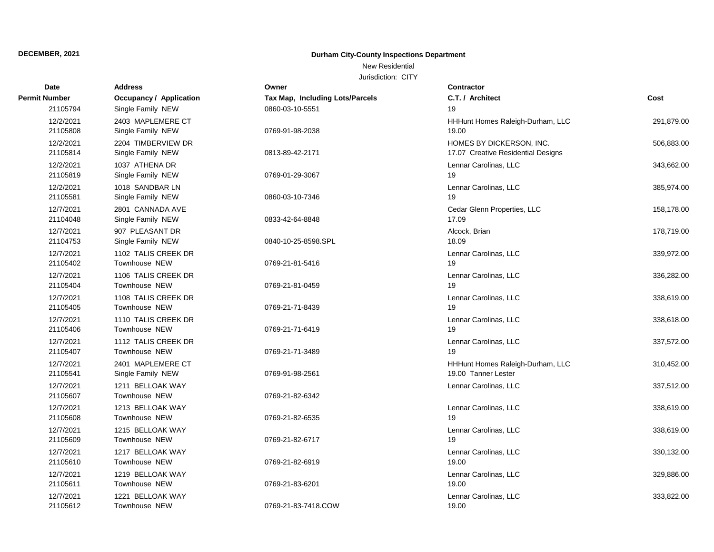### New Residential

| Date                  | <b>Address</b>                          | Owner                           | Contractor                                                     |            |
|-----------------------|-----------------------------------------|---------------------------------|----------------------------------------------------------------|------------|
| <b>Permit Number</b>  | <b>Occupancy / Application</b>          | Tax Map, Including Lots/Parcels | C.T. / Architect                                               | Cost       |
| 21105794              | Single Family NEW                       | 0860-03-10-5551                 | 19                                                             |            |
| 12/2/2021<br>21105808 | 2403 MAPLEMERE CT<br>Single Family NEW  | 0769-91-98-2038                 | HHHunt Homes Raleigh-Durham, LLC<br>19.00                      | 291,879.00 |
| 12/2/2021<br>21105814 | 2204 TIMBERVIEW DR<br>Single Family NEW | 0813-89-42-2171                 | HOMES BY DICKERSON, INC.<br>17.07 Creative Residential Designs | 506,883.00 |
| 12/2/2021<br>21105819 | 1037 ATHENA DR<br>Single Family NEW     | 0769-01-29-3067                 | Lennar Carolinas, LLC<br>19                                    | 343,662.00 |
| 12/2/2021<br>21105581 | 1018 SANDBAR LN<br>Single Family NEW    | 0860-03-10-7346                 | Lennar Carolinas, LLC<br>19                                    | 385,974.00 |
| 12/7/2021<br>21104048 | 2801 CANNADA AVE<br>Single Family NEW   | 0833-42-64-8848                 | Cedar Glenn Properties, LLC<br>17.09                           | 158,178.00 |
| 12/7/2021<br>21104753 | 907 PLEASANT DR<br>Single Family NEW    | 0840-10-25-8598.SPL             | Alcock, Brian<br>18.09                                         | 178,719.00 |
| 12/7/2021<br>21105402 | 1102 TALIS CREEK DR<br>Townhouse NEW    | 0769-21-81-5416                 | Lennar Carolinas, LLC<br>19                                    | 339,972.00 |
| 12/7/2021<br>21105404 | 1106 TALIS CREEK DR<br>Townhouse NEW    | 0769-21-81-0459                 | Lennar Carolinas, LLC<br>19                                    | 336,282.00 |
| 12/7/2021<br>21105405 | 1108 TALIS CREEK DR<br>Townhouse NEW    | 0769-21-71-8439                 | Lennar Carolinas, LLC<br>19                                    | 338,619.00 |
| 12/7/2021<br>21105406 | 1110 TALIS CREEK DR<br>Townhouse NEW    | 0769-21-71-6419                 | Lennar Carolinas, LLC<br>19                                    | 338,618.00 |
| 12/7/2021<br>21105407 | 1112 TALIS CREEK DR<br>Townhouse NEW    | 0769-21-71-3489                 | Lennar Carolinas, LLC<br>19                                    | 337,572.00 |
| 12/7/2021<br>21105541 | 2401 MAPLEMERE CT<br>Single Family NEW  | 0769-91-98-2561                 | HHHunt Homes Raleigh-Durham, LLC<br>19.00 Tanner Lester        | 310,452.00 |
| 12/7/2021<br>21105607 | 1211 BELLOAK WAY<br>Townhouse NEW       | 0769-21-82-6342                 | Lennar Carolinas, LLC                                          | 337,512.00 |
| 12/7/2021<br>21105608 | 1213 BELLOAK WAY<br>Townhouse NEW       | 0769-21-82-6535                 | Lennar Carolinas, LLC<br>19                                    | 338,619.00 |
| 12/7/2021<br>21105609 | 1215 BELLOAK WAY<br>Townhouse NEW       | 0769-21-82-6717                 | Lennar Carolinas, LLC<br>19                                    | 338,619.00 |
| 12/7/2021<br>21105610 | 1217 BELLOAK WAY<br>Townhouse NEW       | 0769-21-82-6919                 | Lennar Carolinas, LLC<br>19.00                                 | 330,132.00 |
| 12/7/2021<br>21105611 | 1219 BELLOAK WAY<br>Townhouse NEW       | 0769-21-83-6201                 | Lennar Carolinas, LLC<br>19.00                                 | 329,886.00 |
| 12/7/2021<br>21105612 | 1221 BELLOAK WAY<br>Townhouse NEW       | 0769-21-83-7418.COW             | Lennar Carolinas, LLC<br>19.00                                 | 333,822.00 |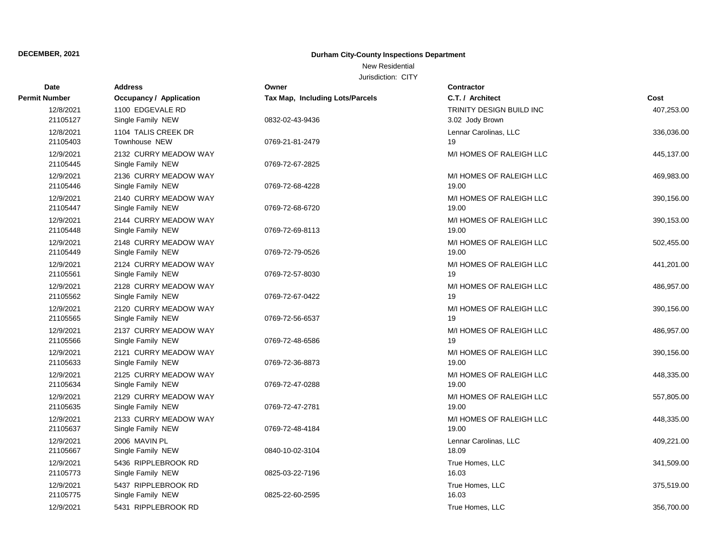### New Residential

| <b>Date</b>           | <b>Address</b>                             | Owner                           | <b>Contractor</b>                                  |            |
|-----------------------|--------------------------------------------|---------------------------------|----------------------------------------------------|------------|
| Permit Number         | Occupancy / Application                    | Tax Map, Including Lots/Parcels | C.T. / Architect                                   | Cost       |
| 12/8/2021<br>21105127 | 1100 EDGEVALE RD<br>Single Family NEW      | 0832-02-43-9436                 | <b>TRINITY DESIGN BUILD INC</b><br>3.02 Jody Brown | 407,253.00 |
| 12/8/2021<br>21105403 | 1104 TALIS CREEK DR<br>Townhouse NEW       | 0769-21-81-2479                 | Lennar Carolinas, LLC<br>19                        | 336,036.00 |
| 12/9/2021<br>21105445 | 2132 CURRY MEADOW WAY<br>Single Family NEW | 0769-72-67-2825                 | M/I HOMES OF RALEIGH LLC                           | 445,137.00 |
| 12/9/2021<br>21105446 | 2136 CURRY MEADOW WAY<br>Single Family NEW | 0769-72-68-4228                 | M/I HOMES OF RALEIGH LLC<br>19.00                  | 469,983.00 |
| 12/9/2021<br>21105447 | 2140 CURRY MEADOW WAY<br>Single Family NEW | 0769-72-68-6720                 | M/I HOMES OF RALEIGH LLC<br>19.00                  | 390,156.00 |
| 12/9/2021<br>21105448 | 2144 CURRY MEADOW WAY<br>Single Family NEW | 0769-72-69-8113                 | M/I HOMES OF RALEIGH LLC<br>19.00                  | 390,153.00 |
| 12/9/2021<br>21105449 | 2148 CURRY MEADOW WAY<br>Single Family NEW | 0769-72-79-0526                 | M/I HOMES OF RALEIGH LLC<br>19.00                  | 502,455.00 |
| 12/9/2021<br>21105561 | 2124 CURRY MEADOW WAY<br>Single Family NEW | 0769-72-57-8030                 | M/I HOMES OF RALEIGH LLC<br>19                     | 441,201.00 |
| 12/9/2021<br>21105562 | 2128 CURRY MEADOW WAY<br>Single Family NEW | 0769-72-67-0422                 | M/I HOMES OF RALEIGH LLC<br>19                     | 486,957.00 |
| 12/9/2021<br>21105565 | 2120 CURRY MEADOW WAY<br>Single Family NEW | 0769-72-56-6537                 | M/I HOMES OF RALEIGH LLC<br>19                     | 390,156.00 |
| 12/9/2021<br>21105566 | 2137 CURRY MEADOW WAY<br>Single Family NEW | 0769-72-48-6586                 | M/I HOMES OF RALEIGH LLC<br>19                     | 486,957.00 |
| 12/9/2021<br>21105633 | 2121 CURRY MEADOW WAY<br>Single Family NEW | 0769-72-36-8873                 | M/I HOMES OF RALEIGH LLC<br>19.00                  | 390,156.00 |
| 12/9/2021<br>21105634 | 2125 CURRY MEADOW WAY<br>Single Family NEW | 0769-72-47-0288                 | M/I HOMES OF RALEIGH LLC<br>19.00                  | 448,335.00 |
| 12/9/2021<br>21105635 | 2129 CURRY MEADOW WAY<br>Single Family NEW | 0769-72-47-2781                 | M/I HOMES OF RALEIGH LLC<br>19.00                  | 557,805.00 |
| 12/9/2021<br>21105637 | 2133 CURRY MEADOW WAY<br>Single Family NEW | 0769-72-48-4184                 | M/I HOMES OF RALEIGH LLC<br>19.00                  | 448,335.00 |
| 12/9/2021<br>21105667 | 2006 MAVIN PL<br>Single Family NEW         | 0840-10-02-3104                 | Lennar Carolinas, LLC<br>18.09                     | 409,221.00 |
| 12/9/2021<br>21105773 | 5436 RIPPLEBROOK RD<br>Single Family NEW   | 0825-03-22-7196                 | True Homes, LLC<br>16.03                           | 341,509.00 |
| 12/9/2021<br>21105775 | 5437 RIPPLEBROOK RD<br>Single Family NEW   | 0825-22-60-2595                 | True Homes, LLC<br>16.03                           | 375,519.00 |
| 12/9/2021             | 5431 RIPPLEBROOK RD                        |                                 | True Homes, LLC                                    | 356,700.00 |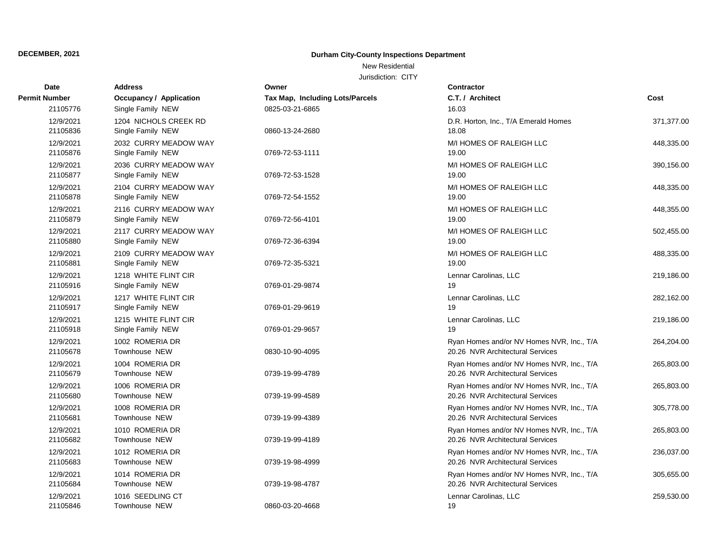### New Residential

| Date                  | <b>Address</b>                             | Owner                           | <b>Contractor</b>                                                             |            |
|-----------------------|--------------------------------------------|---------------------------------|-------------------------------------------------------------------------------|------------|
| Permit Number         | <b>Occupancy / Application</b>             | Tax Map, Including Lots/Parcels | C.T. / Architect                                                              | Cost       |
| 21105776              | Single Family NEW                          | 0825-03-21-6865                 | 16.03                                                                         |            |
| 12/9/2021<br>21105836 | 1204 NICHOLS CREEK RD<br>Single Family NEW | 0860-13-24-2680                 | D.R. Horton, Inc., T/A Emerald Homes<br>18.08                                 | 371,377.00 |
| 12/9/2021<br>21105876 | 2032 CURRY MEADOW WAY<br>Single Family NEW | 0769-72-53-1111                 | M/I HOMES OF RALEIGH LLC<br>19.00                                             | 448,335.00 |
| 12/9/2021<br>21105877 | 2036 CURRY MEADOW WAY<br>Single Family NEW | 0769-72-53-1528                 | M/I HOMES OF RALEIGH LLC<br>19.00                                             | 390,156.00 |
| 12/9/2021<br>21105878 | 2104 CURRY MEADOW WAY<br>Single Family NEW | 0769-72-54-1552                 | M/I HOMES OF RALEIGH LLC<br>19.00                                             | 448,335.00 |
| 12/9/2021<br>21105879 | 2116 CURRY MEADOW WAY<br>Single Family NEW | 0769-72-56-4101                 | M/I HOMES OF RALEIGH LLC<br>19.00                                             | 448,355.00 |
| 12/9/2021<br>21105880 | 2117 CURRY MEADOW WAY<br>Single Family NEW | 0769-72-36-6394                 | M/I HOMES OF RALEIGH LLC<br>19.00                                             | 502,455.00 |
| 12/9/2021<br>21105881 | 2109 CURRY MEADOW WAY<br>Single Family NEW | 0769-72-35-5321                 | M/I HOMES OF RALEIGH LLC<br>19.00                                             | 488,335.00 |
| 12/9/2021<br>21105916 | 1218 WHITE FLINT CIR<br>Single Family NEW  | 0769-01-29-9874                 | Lennar Carolinas, LLC<br>19                                                   | 219,186.00 |
| 12/9/2021<br>21105917 | 1217 WHITE FLINT CIR<br>Single Family NEW  | 0769-01-29-9619                 | Lennar Carolinas, LLC<br>19                                                   | 282,162.00 |
| 12/9/2021<br>21105918 | 1215 WHITE FLINT CIR<br>Single Family NEW  | 0769-01-29-9657                 | Lennar Carolinas, LLC<br>19                                                   | 219,186.00 |
| 12/9/2021<br>21105678 | 1002 ROMERIA DR<br>Townhouse NEW           | 0830-10-90-4095                 | Ryan Homes and/or NV Homes NVR, Inc., T/A<br>20.26 NVR Architectural Services | 264,204.00 |
| 12/9/2021<br>21105679 | 1004 ROMERIA DR<br>Townhouse NEW           | 0739-19-99-4789                 | Ryan Homes and/or NV Homes NVR, Inc., T/A<br>20.26 NVR Architectural Services | 265,803.00 |
| 12/9/2021<br>21105680 | 1006 ROMERIA DR<br>Townhouse NEW           | 0739-19-99-4589                 | Ryan Homes and/or NV Homes NVR, Inc., T/A<br>20.26 NVR Architectural Services | 265,803.00 |
| 12/9/2021<br>21105681 | 1008 ROMERIA DR<br>Townhouse NEW           | 0739-19-99-4389                 | Ryan Homes and/or NV Homes NVR, Inc., T/A<br>20.26 NVR Architectural Services | 305,778.00 |
| 12/9/2021<br>21105682 | 1010 ROMERIA DR<br>Townhouse NEW           | 0739-19-99-4189                 | Ryan Homes and/or NV Homes NVR, Inc., T/A<br>20.26 NVR Architectural Services | 265,803.00 |
| 12/9/2021<br>21105683 | 1012 ROMERIA DR<br>Townhouse NEW           | 0739-19-98-4999                 | Ryan Homes and/or NV Homes NVR, Inc., T/A<br>20.26 NVR Architectural Services | 236,037.00 |
| 12/9/2021<br>21105684 | 1014 ROMERIA DR<br>Townhouse NEW           | 0739-19-98-4787                 | Ryan Homes and/or NV Homes NVR, Inc., T/A<br>20.26 NVR Architectural Services | 305,655.00 |
| 12/9/2021<br>21105846 | 1016 SEEDLING CT<br>Townhouse NEW          | 0860-03-20-4668                 | Lennar Carolinas, LLC<br>19                                                   | 259,530.00 |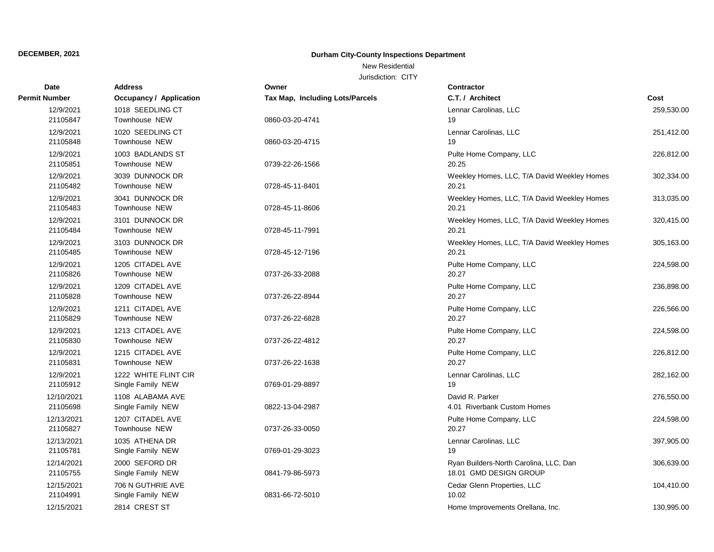### New Residential

| Date                   | <b>Address</b>                            | Owner                           | Contractor                                                       |            |
|------------------------|-------------------------------------------|---------------------------------|------------------------------------------------------------------|------------|
| Permit Number          | <b>Occupancy / Application</b>            | Tax Map, Including Lots/Parcels | C.T. / Architect                                                 | Cost       |
| 12/9/2021<br>21105847  | 1018 SEEDLING CT<br>Townhouse NEW         | 0860-03-20-4741                 | Lennar Carolinas, LLC<br>19                                      | 259,530.00 |
| 12/9/2021<br>21105848  | 1020 SEEDLING CT<br>Townhouse NEW         | 0860-03-20-4715                 | Lennar Carolinas, LLC<br>19                                      | 251,412.00 |
| 12/9/2021<br>21105851  | 1003 BADLANDS ST<br>Townhouse NEW         | 0739-22-26-1566                 | Pulte Home Company, LLC<br>20.25                                 | 226,812.00 |
| 12/9/2021<br>21105482  | 3039 DUNNOCK DR<br>Townhouse NEW          | 0728-45-11-8401                 | Weekley Homes, LLC, T/A David Weekley Homes<br>20.21             | 302,334.00 |
| 12/9/2021<br>21105483  | 3041 DUNNOCK DR<br>Townhouse NEW          | 0728-45-11-8606                 | Weekley Homes, LLC, T/A David Weekley Homes<br>20.21             | 313,035.00 |
| 12/9/2021<br>21105484  | 3101 DUNNOCK DR<br>Townhouse NEW          | 0728-45-11-7991                 | Weekley Homes, LLC, T/A David Weekley Homes<br>20.21             | 320,415.00 |
| 12/9/2021<br>21105485  | 3103 DUNNOCK DR<br>Townhouse NEW          | 0728-45-12-7196                 | Weekley Homes, LLC, T/A David Weekley Homes<br>20.21             | 305,163.00 |
| 12/9/2021<br>21105826  | 1205 CITADEL AVE<br>Townhouse NEW         | 0737-26-33-2088                 | Pulte Home Company, LLC<br>20.27                                 | 224,598.00 |
| 12/9/2021<br>21105828  | 1209 CITADEL AVE<br>Townhouse NEW         | 0737-26-22-8944                 | Pulte Home Company, LLC<br>20.27                                 | 236,898.00 |
| 12/9/2021<br>21105829  | 1211 CITADEL AVE<br>Townhouse NEW         | 0737-26-22-6828                 | Pulte Home Company, LLC<br>20.27                                 | 226,566.00 |
| 12/9/2021<br>21105830  | 1213 CITADEL AVE<br>Townhouse NEW         | 0737-26-22-4812                 | Pulte Home Company, LLC<br>20.27                                 | 224,598.00 |
| 12/9/2021<br>21105831  | 1215 CITADEL AVE<br>Townhouse NEW         | 0737-26-22-1638                 | Pulte Home Company, LLC<br>20.27                                 | 226,812.00 |
| 12/9/2021<br>21105912  | 1222 WHITE FLINT CIR<br>Single Family NEW | 0769-01-29-8897                 | Lennar Carolinas, LLC<br>19                                      | 282,162.00 |
| 12/10/2021<br>21105698 | 1108 ALABAMA AVE<br>Single Family NEW     | 0822-13-04-2987                 | David R. Parker<br>4.01 Riverbank Custom Homes                   | 276,550.00 |
| 12/13/2021<br>21105827 | 1207 CITADEL AVE<br>Townhouse NEW         | 0737-26-33-0050                 | Pulte Home Company, LLC<br>20.27                                 | 224,598.00 |
| 12/13/2021<br>21105781 | 1035 ATHENA DR<br>Single Family NEW       | 0769-01-29-3023                 | Lennar Carolinas, LLC<br>19                                      | 397,905.00 |
| 12/14/2021<br>21105755 | 2000 SEFORD DR<br>Single Family NEW       | 0841-79-86-5973                 | Ryan Builders-North Carolina, LLC, Dan<br>18.01 GMD DESIGN GROUP | 306,639.00 |
| 12/15/2021<br>21104991 | 706 N GUTHRIE AVE<br>Single Family NEW    | 0831-66-72-5010                 | Cedar Glenn Properties, LLC<br>10.02                             | 104,410.00 |
| 12/15/2021             | 2814 CREST ST                             |                                 | Home Improvements Orellana, Inc.                                 | 130,995.00 |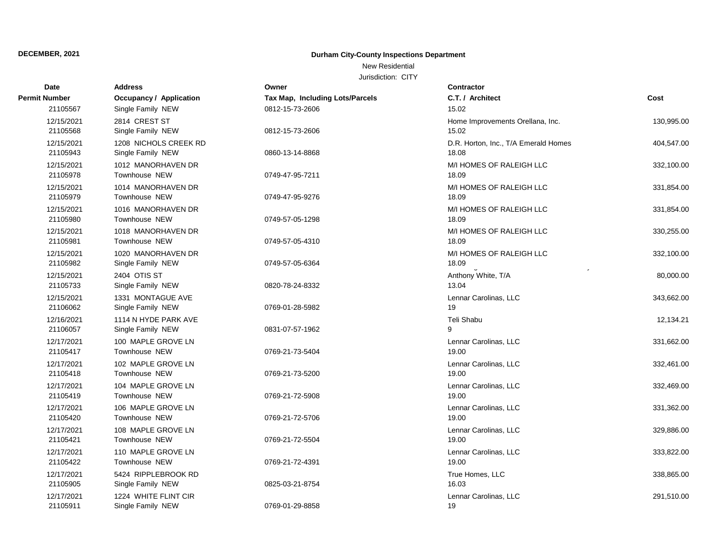### New Residential

| Date                   | <b>Address</b>                             | Owner                           | <b>Contractor</b>                             |            |
|------------------------|--------------------------------------------|---------------------------------|-----------------------------------------------|------------|
| Permit Number          | <b>Occupancy / Application</b>             | Tax Map, Including Lots/Parcels | C.T. / Architect                              | Cost       |
| 21105567               | Single Family NEW                          | 0812-15-73-2606                 | 15.02                                         |            |
| 12/15/2021<br>21105568 | 2814 CREST ST<br>Single Family NEW         | 0812-15-73-2606                 | Home Improvements Orellana, Inc.<br>15.02     | 130,995.00 |
| 12/15/2021<br>21105943 | 1208 NICHOLS CREEK RD<br>Single Family NEW | 0860-13-14-8868                 | D.R. Horton, Inc., T/A Emerald Homes<br>18.08 | 404,547.00 |
| 12/15/2021<br>21105978 | 1012 MANORHAVEN DR<br>Townhouse NEW        | 0749-47-95-7211                 | M/I HOMES OF RALEIGH LLC<br>18.09             | 332,100.00 |
| 12/15/2021<br>21105979 | 1014 MANORHAVEN DR<br>Townhouse NEW        | 0749-47-95-9276                 | M/I HOMES OF RALEIGH LLC<br>18.09             | 331,854.00 |
| 12/15/2021<br>21105980 | 1016 MANORHAVEN DR<br>Townhouse NEW        | 0749-57-05-1298                 | M/I HOMES OF RALEIGH LLC<br>18.09             | 331,854.00 |
| 12/15/2021<br>21105981 | 1018 MANORHAVEN DR<br>Townhouse NEW        | 0749-57-05-4310                 | M/I HOMES OF RALEIGH LLC<br>18.09             | 330,255.00 |
| 12/15/2021<br>21105982 | 1020 MANORHAVEN DR<br>Single Family NEW    | 0749-57-05-6364                 | M/I HOMES OF RALEIGH LLC<br>18.09             | 332,100.00 |
| 12/15/2021<br>21105733 | 2404 OTIS ST<br>Single Family NEW          | 0820-78-24-8332                 | Anthony White, T/A<br>13.04                   | 80,000.00  |
| 12/15/2021<br>21106062 | 1331 MONTAGUE AVE<br>Single Family NEW     | 0769-01-28-5982                 | Lennar Carolinas, LLC<br>19                   | 343,662.00 |
| 12/16/2021<br>21106057 | 1114 N HYDE PARK AVE<br>Single Family NEW  | 0831-07-57-1962                 | Teli Shabu<br>9                               | 12,134.21  |
| 12/17/2021<br>21105417 | 100 MAPLE GROVE LN<br>Townhouse NEW        | 0769-21-73-5404                 | Lennar Carolinas, LLC<br>19.00                | 331,662.00 |
| 12/17/2021<br>21105418 | 102 MAPLE GROVE LN<br>Townhouse NEW        | 0769-21-73-5200                 | Lennar Carolinas, LLC<br>19.00                | 332,461.00 |
| 12/17/2021<br>21105419 | 104 MAPLE GROVE LN<br>Townhouse NEW        | 0769-21-72-5908                 | Lennar Carolinas, LLC<br>19.00                | 332,469.00 |
| 12/17/2021<br>21105420 | 106 MAPLE GROVE LN<br>Townhouse NEW        | 0769-21-72-5706                 | Lennar Carolinas, LLC<br>19.00                | 331,362.00 |
| 12/17/2021<br>21105421 | 108 MAPLE GROVE LN<br>Townhouse NEW        | 0769-21-72-5504                 | Lennar Carolinas, LLC<br>19.00                | 329,886.00 |
| 12/17/2021<br>21105422 | 110 MAPLE GROVE LN<br>Townhouse NEW        | 0769-21-72-4391                 | Lennar Carolinas, LLC<br>19.00                | 333,822.00 |
| 12/17/2021<br>21105905 | 5424 RIPPLEBROOK RD<br>Single Family NEW   | 0825-03-21-8754                 | True Homes, LLC<br>16.03                      | 338,865.00 |
| 12/17/2021<br>21105911 | 1224 WHITE FLINT CIR<br>Single Family NEW  | 0769-01-29-8858                 | Lennar Carolinas, LLC<br>19                   | 291,510.00 |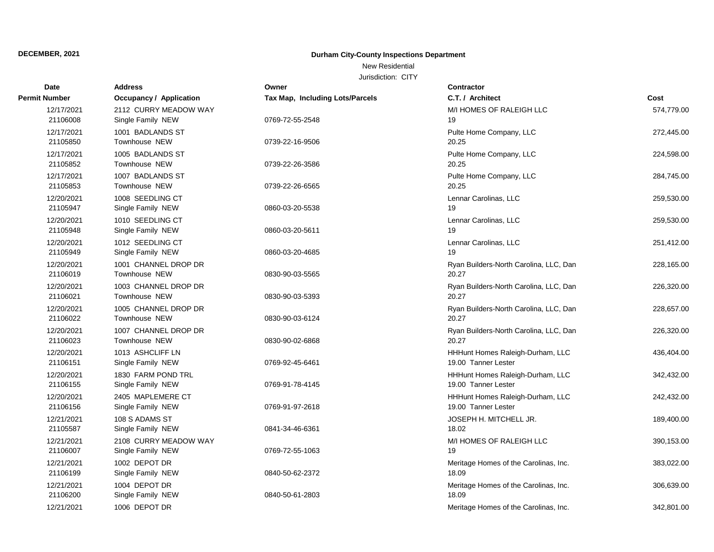### New Residential

| <b>Date</b>            | Address                                    | Owner                           | <b>Contractor</b>                                       |            |
|------------------------|--------------------------------------------|---------------------------------|---------------------------------------------------------|------------|
| Permit Number          | <b>Occupancy / Application</b>             | Tax Map, Including Lots/Parcels | C.T. / Architect                                        | Cost       |
| 12/17/2021<br>21106008 | 2112 CURRY MEADOW WAY<br>Single Family NEW | 0769-72-55-2548                 | M/I HOMES OF RALEIGH LLC<br>19                          | 574,779.00 |
| 12/17/2021<br>21105850 | 1001 BADLANDS ST<br>Townhouse NEW          | 0739-22-16-9506                 | Pulte Home Company, LLC<br>20.25                        | 272,445.00 |
| 12/17/2021<br>21105852 | 1005 BADLANDS ST<br>Townhouse NEW          | 0739-22-26-3586                 | Pulte Home Company, LLC<br>20.25                        | 224,598.00 |
| 12/17/2021<br>21105853 | 1007 BADLANDS ST<br>Townhouse NEW          | 0739-22-26-6565                 | Pulte Home Company, LLC<br>20.25                        | 284,745.00 |
| 12/20/2021<br>21105947 | 1008 SEEDLING CT<br>Single Family NEW      | 0860-03-20-5538                 | Lennar Carolinas, LLC<br>19                             | 259,530.00 |
| 12/20/2021<br>21105948 | 1010 SEEDLING CT<br>Single Family NEW      | 0860-03-20-5611                 | Lennar Carolinas, LLC<br>19                             | 259,530.00 |
| 12/20/2021<br>21105949 | 1012 SEEDLING CT<br>Single Family NEW      | 0860-03-20-4685                 | Lennar Carolinas, LLC<br>19                             | 251,412.00 |
| 12/20/2021<br>21106019 | 1001 CHANNEL DROP DR<br>Townhouse NEW      | 0830-90-03-5565                 | Ryan Builders-North Carolina, LLC, Dan<br>20.27         | 228,165.00 |
| 12/20/2021<br>21106021 | 1003 CHANNEL DROP DR<br>Townhouse NEW      | 0830-90-03-5393                 | Ryan Builders-North Carolina, LLC, Dan<br>20.27         | 226,320.00 |
| 12/20/2021<br>21106022 | 1005 CHANNEL DROP DR<br>Townhouse NEW      | 0830-90-03-6124                 | Ryan Builders-North Carolina, LLC, Dan<br>20.27         | 228,657.00 |
| 12/20/2021<br>21106023 | 1007 CHANNEL DROP DR<br>Townhouse NEW      | 0830-90-02-6868                 | Ryan Builders-North Carolina, LLC, Dan<br>20.27         | 226,320.00 |
| 12/20/2021<br>21106151 | 1013 ASHCLIFF LN<br>Single Family NEW      | 0769-92-45-6461                 | HHHunt Homes Raleigh-Durham, LLC<br>19.00 Tanner Lester | 436,404.00 |
| 12/20/2021<br>21106155 | 1830 FARM POND TRL<br>Single Family NEW    | 0769-91-78-4145                 | HHHunt Homes Raleigh-Durham, LLC<br>19.00 Tanner Lester | 342,432.00 |
| 12/20/2021<br>21106156 | 2405 MAPLEMERE CT<br>Single Family NEW     | 0769-91-97-2618                 | HHHunt Homes Raleigh-Durham, LLC<br>19.00 Tanner Lester | 242,432.00 |
| 12/21/2021<br>21105587 | 108 S ADAMS ST<br>Single Family NEW        | 0841-34-46-6361                 | JOSEPH H. MITCHELL JR.<br>18.02                         | 189,400.00 |
| 12/21/2021<br>21106007 | 2108 CURRY MEADOW WAY<br>Single Family NEW | 0769-72-55-1063                 | M/I HOMES OF RALEIGH LLC<br>19                          | 390,153.00 |
| 12/21/2021<br>21106199 | 1002 DEPOT DR<br>Single Family NEW         | 0840-50-62-2372                 | Meritage Homes of the Carolinas, Inc.<br>18.09          | 383,022.00 |
| 12/21/2021<br>21106200 | 1004 DEPOT DR<br>Single Family NEW         | 0840-50-61-2803                 | Meritage Homes of the Carolinas, Inc.<br>18.09          | 306,639.00 |
| 12/21/2021             | 1006 DEPOT DR                              |                                 | Meritage Homes of the Carolinas, Inc.                   | 342.801.00 |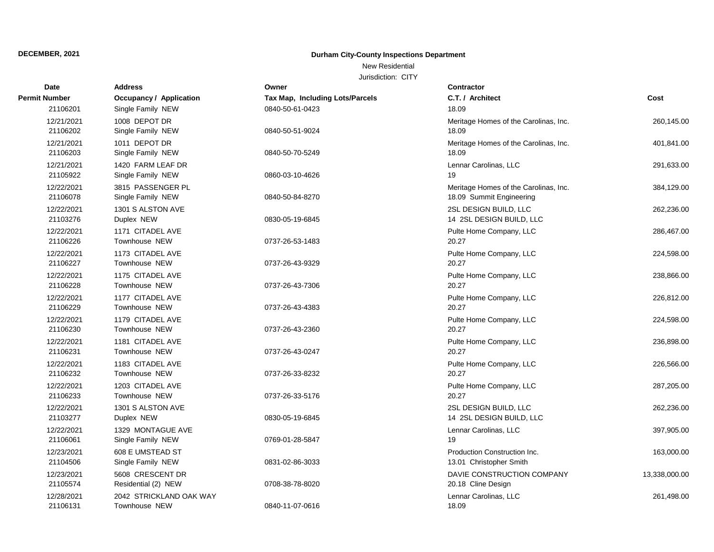### New Residential

| Date                   | <b>Address</b>                           | Owner                           | <b>Contractor</b>                                                 |               |
|------------------------|------------------------------------------|---------------------------------|-------------------------------------------------------------------|---------------|
| Permit Number          | <b>Occupancy / Application</b>           | Tax Map, Including Lots/Parcels | C.T. / Architect                                                  | Cost          |
| 21106201               | Single Family NEW                        | 0840-50-61-0423                 | 18.09                                                             |               |
| 12/21/2021<br>21106202 | 1008 DEPOT DR<br>Single Family NEW       | 0840-50-51-9024                 | Meritage Homes of the Carolinas, Inc.<br>18.09                    | 260,145.00    |
| 12/21/2021<br>21106203 | 1011 DEPOT DR<br>Single Family NEW       | 0840-50-70-5249                 | Meritage Homes of the Carolinas, Inc.<br>18.09                    | 401,841.00    |
| 12/21/2021<br>21105922 | 1420 FARM LEAF DR<br>Single Family NEW   | 0860-03-10-4626                 | Lennar Carolinas, LLC<br>19                                       | 291,633.00    |
| 12/22/2021<br>21106078 | 3815 PASSENGER PL<br>Single Family NEW   | 0840-50-84-8270                 | Meritage Homes of the Carolinas, Inc.<br>18.09 Summit Engineering | 384,129.00    |
| 12/22/2021<br>21103276 | 1301 S ALSTON AVE<br>Duplex NEW          | 0830-05-19-6845                 | 2SL DESIGN BUILD, LLC<br>14 2SL DESIGN BUILD, LLC                 | 262,236.00    |
| 12/22/2021<br>21106226 | 1171 CITADEL AVE<br>Townhouse NEW        | 0737-26-53-1483                 | Pulte Home Company, LLC<br>20.27                                  | 286,467.00    |
| 12/22/2021<br>21106227 | 1173 CITADEL AVE<br>Townhouse NEW        | 0737-26-43-9329                 | Pulte Home Company, LLC<br>20.27                                  | 224,598.00    |
| 12/22/2021<br>21106228 | 1175 CITADEL AVE<br>Townhouse NEW        | 0737-26-43-7306                 | Pulte Home Company, LLC<br>20.27                                  | 238,866.00    |
| 12/22/2021<br>21106229 | 1177 CITADEL AVE<br>Townhouse NEW        | 0737-26-43-4383                 | Pulte Home Company, LLC<br>20.27                                  | 226,812.00    |
| 12/22/2021<br>21106230 | 1179 CITADEL AVE<br>Townhouse NEW        | 0737-26-43-2360                 | Pulte Home Company, LLC<br>20.27                                  | 224,598.00    |
| 12/22/2021<br>21106231 | 1181 CITADEL AVE<br>Townhouse NEW        | 0737-26-43-0247                 | Pulte Home Company, LLC<br>20.27                                  | 236,898.00    |
| 12/22/2021<br>21106232 | 1183 CITADEL AVE<br>Townhouse NEW        | 0737-26-33-8232                 | Pulte Home Company, LLC<br>20.27                                  | 226,566.00    |
| 12/22/2021<br>21106233 | 1203 CITADEL AVE<br>Townhouse NEW        | 0737-26-33-5176                 | Pulte Home Company, LLC<br>20.27                                  | 287,205.00    |
| 12/22/2021<br>21103277 | 1301 S ALSTON AVE<br>Duplex NEW          | 0830-05-19-6845                 | 2SL DESIGN BUILD, LLC<br>14 2SL DESIGN BUILD, LLC                 | 262,236.00    |
| 12/22/2021<br>21106061 | 1329 MONTAGUE AVE<br>Single Family NEW   | 0769-01-28-5847                 | Lennar Carolinas, LLC<br>19                                       | 397,905.00    |
| 12/23/2021<br>21104506 | 608 E UMSTEAD ST<br>Single Family NEW    | 0831-02-86-3033                 | Production Construction Inc.<br>13.01 Christopher Smith           | 163,000.00    |
| 12/23/2021<br>21105574 | 5608 CRESCENT DR<br>Residential (2) NEW  | 0708-38-78-8020                 | DAVIE CONSTRUCTION COMPANY<br>20.18 Cline Design                  | 13,338,000.00 |
| 12/28/2021<br>21106131 | 2042 STRICKLAND OAK WAY<br>Townhouse NEW | 0840-11-07-0616                 | Lennar Carolinas, LLC<br>18.09                                    | 261,498.00    |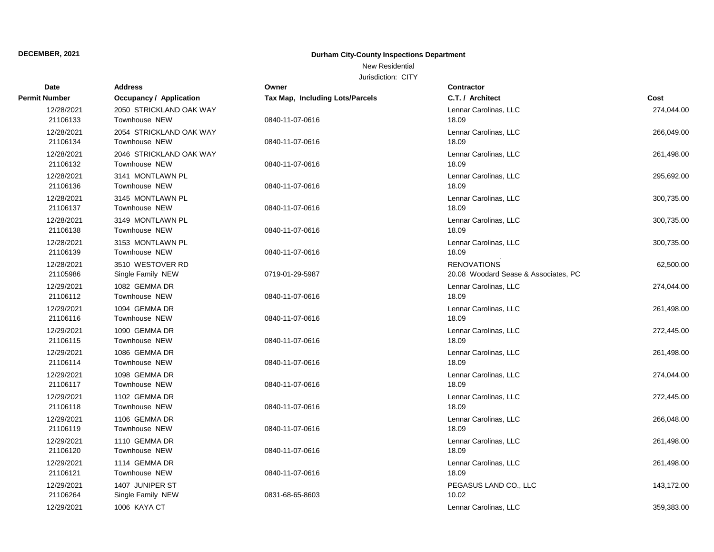### New Residential

| <b>Date</b>            | Address                                  | Owner                           | <b>Contractor</b>                                          |            |
|------------------------|------------------------------------------|---------------------------------|------------------------------------------------------------|------------|
| Permit Number          | <b>Occupancy / Application</b>           | Tax Map, Including Lots/Parcels | C.T. / Architect                                           | Cost       |
| 12/28/2021<br>21106133 | 2050 STRICKLAND OAK WAY<br>Townhouse NEW | 0840-11-07-0616                 | Lennar Carolinas, LLC<br>18.09                             | 274,044.00 |
| 12/28/2021<br>21106134 | 2054 STRICKLAND OAK WAY<br>Townhouse NEW | 0840-11-07-0616                 | Lennar Carolinas, LLC<br>18.09                             | 266,049.00 |
| 12/28/2021<br>21106132 | 2046 STRICKLAND OAK WAY<br>Townhouse NEW | 0840-11-07-0616                 | Lennar Carolinas, LLC<br>18.09                             | 261,498.00 |
| 12/28/2021<br>21106136 | 3141 MONTLAWN PL<br>Townhouse NEW        | 0840-11-07-0616                 | Lennar Carolinas, LLC<br>18.09                             | 295,692.00 |
| 12/28/2021<br>21106137 | 3145 MONTLAWN PL<br>Townhouse NEW        | 0840-11-07-0616                 | Lennar Carolinas, LLC<br>18.09                             | 300,735.00 |
| 12/28/2021<br>21106138 | 3149 MONTLAWN PL<br>Townhouse NEW        | 0840-11-07-0616                 | Lennar Carolinas, LLC<br>18.09                             | 300,735.00 |
| 12/28/2021<br>21106139 | 3153 MONTLAWN PL<br>Townhouse NEW        | 0840-11-07-0616                 | Lennar Carolinas, LLC<br>18.09                             | 300,735.00 |
| 12/28/2021<br>21105986 | 3510 WESTOVER RD<br>Single Family NEW    | 0719-01-29-5987                 | <b>RENOVATIONS</b><br>20.08 Woodard Sease & Associates, PC | 62,500.00  |
| 12/29/2021<br>21106112 | 1082 GEMMA DR<br>Townhouse NEW           | 0840-11-07-0616                 | Lennar Carolinas, LLC<br>18.09                             | 274,044.00 |
| 12/29/2021<br>21106116 | 1094 GEMMA DR<br>Townhouse NEW           | 0840-11-07-0616                 | Lennar Carolinas, LLC<br>18.09                             | 261,498.00 |
| 12/29/2021<br>21106115 | 1090 GEMMA DR<br>Townhouse NEW           | 0840-11-07-0616                 | Lennar Carolinas, LLC<br>18.09                             | 272,445.00 |
| 12/29/2021<br>21106114 | 1086 GEMMA DR<br>Townhouse NEW           | 0840-11-07-0616                 | Lennar Carolinas, LLC<br>18.09                             | 261,498.00 |
| 12/29/2021<br>21106117 | 1098 GEMMA DR<br>Townhouse NEW           | 0840-11-07-0616                 | Lennar Carolinas, LLC<br>18.09                             | 274,044.00 |
| 12/29/2021<br>21106118 | 1102 GEMMA DR<br>Townhouse NEW           | 0840-11-07-0616                 | Lennar Carolinas, LLC<br>18.09                             | 272,445.00 |
| 12/29/2021<br>21106119 | 1106 GEMMA DR<br>Townhouse NEW           | 0840-11-07-0616                 | Lennar Carolinas, LLC<br>18.09                             | 266,048.00 |
| 12/29/2021<br>21106120 | 1110 GEMMA DR<br>Townhouse NEW           | 0840-11-07-0616                 | Lennar Carolinas, LLC<br>18.09                             | 261,498.00 |
| 12/29/2021<br>21106121 | 1114 GEMMA DR<br>Townhouse NEW           | 0840-11-07-0616                 | Lennar Carolinas, LLC<br>18.09                             | 261,498.00 |
| 12/29/2021<br>21106264 | 1407 JUNIPER ST<br>Single Family NEW     | 0831-68-65-8603                 | PEGASUS LAND CO., LLC<br>10.02                             | 143,172.00 |
| 12/29/2021             | 1006 KAYA CT                             |                                 | Lennar Carolinas, LLC                                      | 359,383.00 |